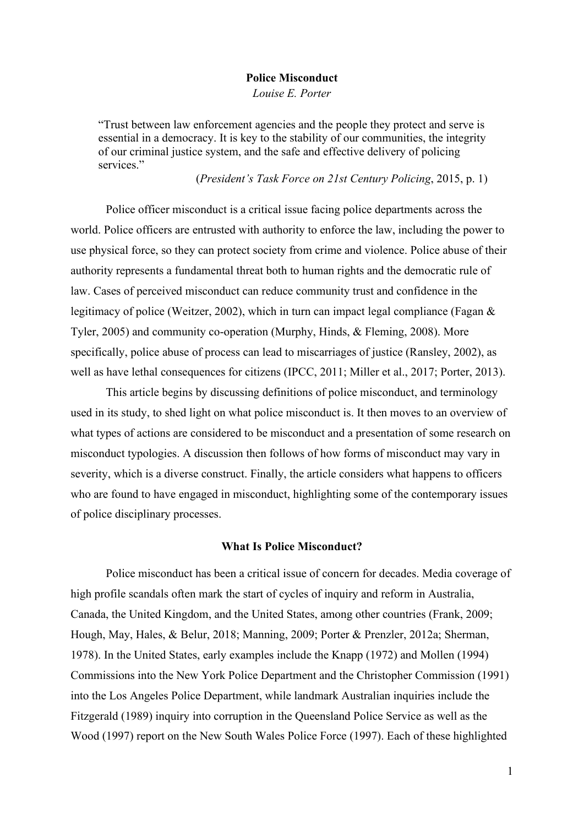#### **Police Misconduct**

*Louise E. Porter*

"Trust between law enforcement agencies and the people they protect and serve is essential in a democracy. It is key to the stability of our communities, the integrity of our criminal justice system, and the safe and effective delivery of policing services."

(*President's Task Force on 21st Century Policing*, 2015, p. 1)

Police officer misconduct is a critical issue facing police departments across the world. Police officers are entrusted with authority to enforce the law, including the power to use physical force, so they can protect society from crime and violence. Police abuse of their authority represents a fundamental threat both to human rights and the democratic rule of law. Cases of perceived misconduct can reduce community trust and confidence in the legitimacy of police (Weitzer, 2002), which in turn can impact legal compliance (Fagan & Tyler, 2005) and community co-operation (Murphy, Hinds, & Fleming, 2008). More specifically, police abuse of process can lead to miscarriages of justice (Ransley, 2002), as well as have lethal consequences for citizens (IPCC, 2011; Miller et al., 2017; Porter, 2013).

This article begins by discussing definitions of police misconduct, and terminology used in its study, to shed light on what police misconduct is. It then moves to an overview of what types of actions are considered to be misconduct and a presentation of some research on misconduct typologies. A discussion then follows of how forms of misconduct may vary in severity, which is a diverse construct. Finally, the article considers what happens to officers who are found to have engaged in misconduct, highlighting some of the contemporary issues of police disciplinary processes.

## **What Is Police Misconduct?**

Police misconduct has been a critical issue of concern for decades. Media coverage of high profile scandals often mark the start of cycles of inquiry and reform in Australia, Canada, the United Kingdom, and the United States, among other countries (Frank, 2009; Hough, May, Hales, & Belur, 2018; Manning, 2009; Porter & Prenzler, 2012a; Sherman, 1978). In the United States, early examples include the Knapp (1972) and Mollen (1994) Commissions into the New York Police Department and the Christopher Commission (1991) into the Los Angeles Police Department, while landmark Australian inquiries include the Fitzgerald (1989) inquiry into corruption in the Queensland Police Service as well as the Wood (1997) report on the New South Wales Police Force (1997). Each of these highlighted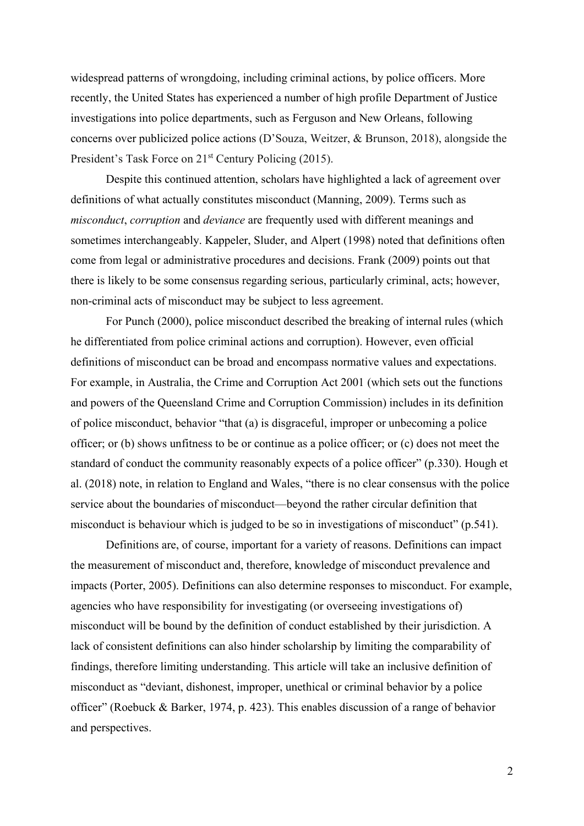widespread patterns of wrongdoing, including criminal actions, by police officers. More recently, the United States has experienced a number of high profile Department of Justice investigations into police departments, such as Ferguson and New Orleans, following concerns over publicized police actions (D'Souza, Weitzer, & Brunson, 2018), alongside the President's Task Force on 21<sup>st</sup> Century Policing (2015).

Despite this continued attention, scholars have highlighted a lack of agreement over definitions of what actually constitutes misconduct (Manning, 2009). Terms such as *misconduct*, *corruption* and *deviance* are frequently used with different meanings and sometimes interchangeably. Kappeler, Sluder, and Alpert (1998) noted that definitions often come from legal or administrative procedures and decisions. Frank (2009) points out that there is likely to be some consensus regarding serious, particularly criminal, acts; however, non-criminal acts of misconduct may be subject to less agreement.

For Punch (2000), police misconduct described the breaking of internal rules (which he differentiated from police criminal actions and corruption). However, even official definitions of misconduct can be broad and encompass normative values and expectations. For example, in Australia, the Crime and Corruption Act 2001 (which sets out the functions and powers of the Queensland Crime and Corruption Commission) includes in its definition of police misconduct, behavior "that (a) is disgraceful, improper or unbecoming a police officer; or (b) shows unfitness to be or continue as a police officer; or (c) does not meet the standard of conduct the community reasonably expects of a police officer" (p.330). Hough et al. (2018) note, in relation to England and Wales, "there is no clear consensus with the police service about the boundaries of misconduct—beyond the rather circular definition that misconduct is behaviour which is judged to be so in investigations of misconduct" (p.541).

Definitions are, of course, important for a variety of reasons. Definitions can impact the measurement of misconduct and, therefore, knowledge of misconduct prevalence and impacts (Porter, 2005). Definitions can also determine responses to misconduct. For example, agencies who have responsibility for investigating (or overseeing investigations of) misconduct will be bound by the definition of conduct established by their jurisdiction. A lack of consistent definitions can also hinder scholarship by limiting the comparability of findings, therefore limiting understanding. This article will take an inclusive definition of misconduct as "deviant, dishonest, improper, unethical or criminal behavior by a police officer" (Roebuck & Barker, 1974, p. 423). This enables discussion of a range of behavior and perspectives.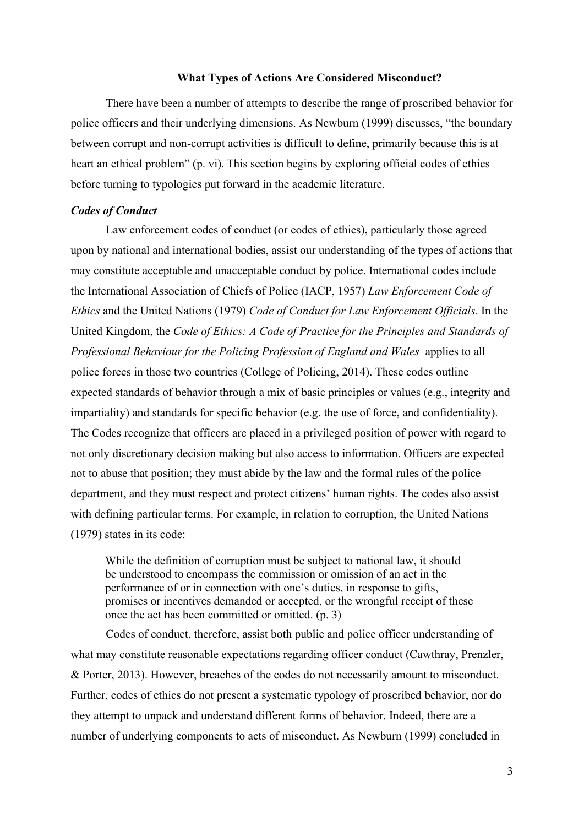## **What Types of Actions Are Considered Misconduct?**

There have been a number of attempts to describe the range of proscribed behavior for police officers and their underlying dimensions. As Newburn (1999) discusses, "the boundary between corrupt and non-corrupt activities is difficult to define, primarily because this is at heart an ethical problem" (p. vi). This section begins by exploring official codes of ethics before turning to typologies put forward in the academic literature.

# *Codes of Conduct*

Law enforcement codes of conduct (or codes of ethics), particularly those agreed upon by national and international bodies, assist our understanding of the types of actions that may constitute acceptable and unacceptable conduct by police. International codes include the International Association of Chiefs of Police (IACP, 1957) *Law Enforcement Code of Ethics* and the United Nations (1979) *Code of Conduct for Law Enforcement Officials*. In the United Kingdom, the *Code of Ethics: A Code of Practice for the Principles and Standards of Professional Behaviour for the Policing Profession of England and Wales* applies to all police forces in those two countries (College of Policing, 2014). These codes outline expected standards of behavior through a mix of basic principles or values (e.g., integrity and impartiality) and standards for specific behavior (e.g. the use of force, and confidentiality). The Codes recognize that officers are placed in a privileged position of power with regard to not only discretionary decision making but also access to information. Officers are expected not to abuse that position; they must abide by the law and the formal rules of the police department, and they must respect and protect citizens' human rights. The codes also assist with defining particular terms. For example, in relation to corruption, the United Nations (1979) states in its code:

While the definition of corruption must be subject to national law, it should be understood to encompass the commission or omission of an act in the performance of or in connection with one's duties, in response to gifts, promises or incentives demanded or accepted, or the wrongful receipt of these once the act has been committed or omitted. (p. 3)

Codes of conduct, therefore, assist both public and police officer understanding of what may constitute reasonable expectations regarding officer conduct (Cawthray, Prenzler, & Porter, 2013). However, breaches of the codes do not necessarily amount to misconduct. Further, codes of ethics do not present a systematic typology of proscribed behavior, nor do they attempt to unpack and understand different forms of behavior. Indeed, there are a number of underlying components to acts of misconduct. As Newburn (1999) concluded in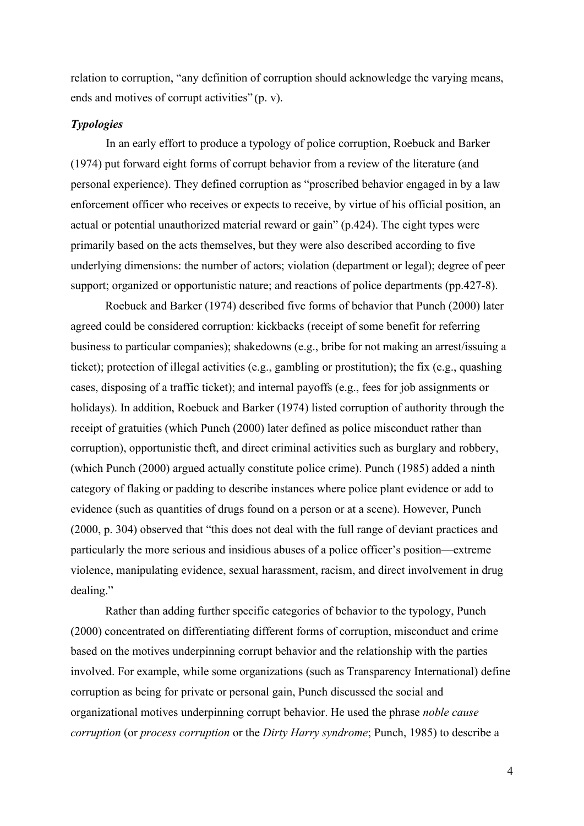relation to corruption, "any definition of corruption should acknowledge the varying means, ends and motives of corrupt activities" (p. v).

# *Typologies*

In an early effort to produce a typology of police corruption, Roebuck and Barker (1974) put forward eight forms of corrupt behavior from a review of the literature (and personal experience). They defined corruption as "proscribed behavior engaged in by a law enforcement officer who receives or expects to receive, by virtue of his official position, an actual or potential unauthorized material reward or gain" (p.424). The eight types were primarily based on the acts themselves, but they were also described according to five underlying dimensions: the number of actors; violation (department or legal); degree of peer support; organized or opportunistic nature; and reactions of police departments (pp.427-8).

Roebuck and Barker (1974) described five forms of behavior that Punch (2000) later agreed could be considered corruption: kickbacks (receipt of some benefit for referring business to particular companies); shakedowns (e.g., bribe for not making an arrest/issuing a ticket); protection of illegal activities (e.g., gambling or prostitution); the fix (e.g., quashing cases, disposing of a traffic ticket); and internal payoffs (e.g., fees for job assignments or holidays). In addition, Roebuck and Barker (1974) listed corruption of authority through the receipt of gratuities (which Punch (2000) later defined as police misconduct rather than corruption), opportunistic theft, and direct criminal activities such as burglary and robbery, (which Punch (2000) argued actually constitute police crime). Punch (1985) added a ninth category of flaking or padding to describe instances where police plant evidence or add to evidence (such as quantities of drugs found on a person or at a scene). However, Punch (2000, p. 304) observed that "this does not deal with the full range of deviant practices and particularly the more serious and insidious abuses of a police officer's position—extreme violence, manipulating evidence, sexual harassment, racism, and direct involvement in drug dealing."

Rather than adding further specific categories of behavior to the typology, Punch (2000) concentrated on differentiating different forms of corruption, misconduct and crime based on the motives underpinning corrupt behavior and the relationship with the parties involved. For example, while some organizations (such as Transparency International) define corruption as being for private or personal gain, Punch discussed the social and organizational motives underpinning corrupt behavior. He used the phrase *noble cause corruption* (or *process corruption* or the *Dirty Harry syndrome*; Punch, 1985) to describe a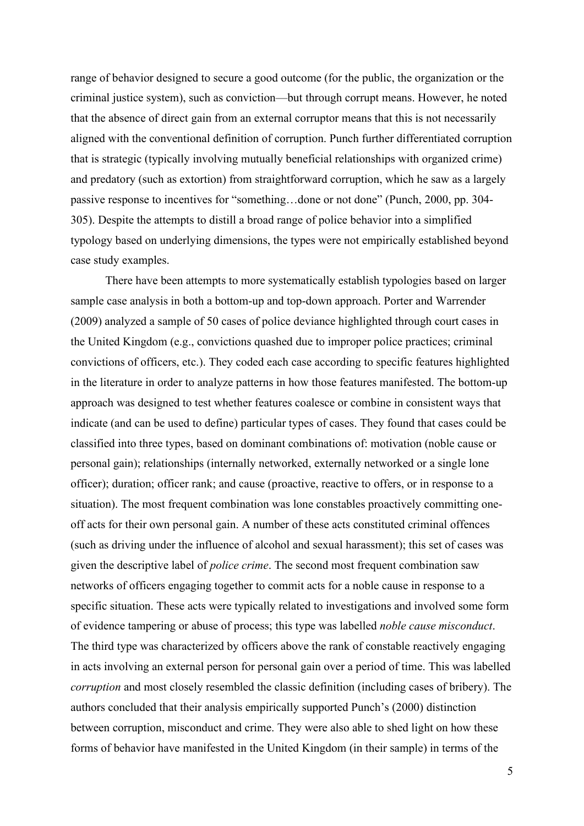range of behavior designed to secure a good outcome (for the public, the organization or the criminal justice system), such as conviction—but through corrupt means. However, he noted that the absence of direct gain from an external corruptor means that this is not necessarily aligned with the conventional definition of corruption. Punch further differentiated corruption that is strategic (typically involving mutually beneficial relationships with organized crime) and predatory (such as extortion) from straightforward corruption, which he saw as a largely passive response to incentives for "something…done or not done" (Punch, 2000, pp. 304- 305). Despite the attempts to distill a broad range of police behavior into a simplified typology based on underlying dimensions, the types were not empirically established beyond case study examples.

There have been attempts to more systematically establish typologies based on larger sample case analysis in both a bottom-up and top-down approach. Porter and Warrender (2009) analyzed a sample of 50 cases of police deviance highlighted through court cases in the United Kingdom (e.g., convictions quashed due to improper police practices; criminal convictions of officers, etc.). They coded each case according to specific features highlighted in the literature in order to analyze patterns in how those features manifested. The bottom-up approach was designed to test whether features coalesce or combine in consistent ways that indicate (and can be used to define) particular types of cases. They found that cases could be classified into three types, based on dominant combinations of: motivation (noble cause or personal gain); relationships (internally networked, externally networked or a single lone officer); duration; officer rank; and cause (proactive, reactive to offers, or in response to a situation). The most frequent combination was lone constables proactively committing oneoff acts for their own personal gain. A number of these acts constituted criminal offences (such as driving under the influence of alcohol and sexual harassment); this set of cases was given the descriptive label of *police crime*. The second most frequent combination saw networks of officers engaging together to commit acts for a noble cause in response to a specific situation. These acts were typically related to investigations and involved some form of evidence tampering or abuse of process; this type was labelled *noble cause misconduct*. The third type was characterized by officers above the rank of constable reactively engaging in acts involving an external person for personal gain over a period of time. This was labelled *corruption* and most closely resembled the classic definition (including cases of bribery). The authors concluded that their analysis empirically supported Punch's (2000) distinction between corruption, misconduct and crime. They were also able to shed light on how these forms of behavior have manifested in the United Kingdom (in their sample) in terms of the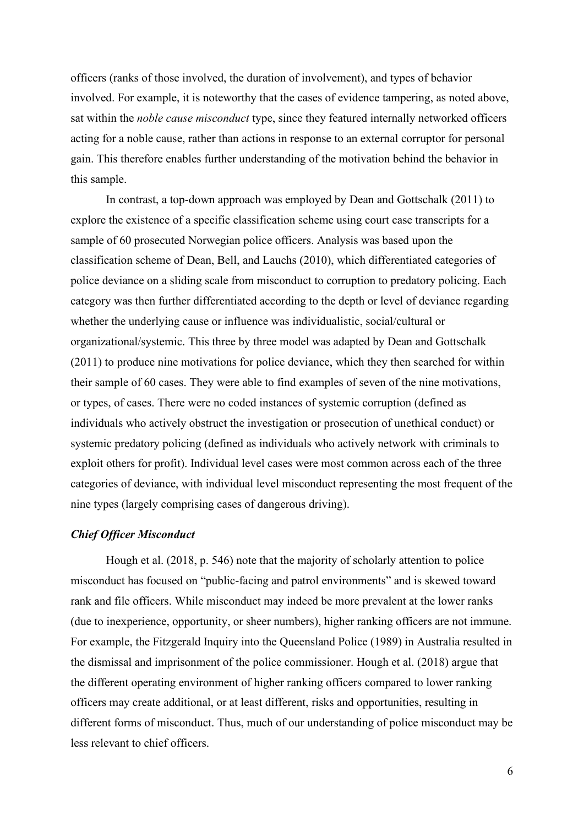officers (ranks of those involved, the duration of involvement), and types of behavior involved. For example, it is noteworthy that the cases of evidence tampering, as noted above, sat within the *noble cause misconduct* type, since they featured internally networked officers acting for a noble cause, rather than actions in response to an external corruptor for personal gain. This therefore enables further understanding of the motivation behind the behavior in this sample.

In contrast, a top-down approach was employed by Dean and Gottschalk (2011) to explore the existence of a specific classification scheme using court case transcripts for a sample of 60 prosecuted Norwegian police officers. Analysis was based upon the classification scheme of Dean, Bell, and Lauchs (2010), which differentiated categories of police deviance on a sliding scale from misconduct to corruption to predatory policing. Each category was then further differentiated according to the depth or level of deviance regarding whether the underlying cause or influence was individualistic, social/cultural or organizational/systemic. This three by three model was adapted by Dean and Gottschalk (2011) to produce nine motivations for police deviance, which they then searched for within their sample of 60 cases. They were able to find examples of seven of the nine motivations, or types, of cases. There were no coded instances of systemic corruption (defined as individuals who actively obstruct the investigation or prosecution of unethical conduct) or systemic predatory policing (defined as individuals who actively network with criminals to exploit others for profit). Individual level cases were most common across each of the three categories of deviance, with individual level misconduct representing the most frequent of the nine types (largely comprising cases of dangerous driving).

#### *Chief Officer Misconduct*

Hough et al. (2018, p. 546) note that the majority of scholarly attention to police misconduct has focused on "public-facing and patrol environments" and is skewed toward rank and file officers. While misconduct may indeed be more prevalent at the lower ranks (due to inexperience, opportunity, or sheer numbers), higher ranking officers are not immune. For example, the Fitzgerald Inquiry into the Queensland Police (1989) in Australia resulted in the dismissal and imprisonment of the police commissioner. Hough et al. (2018) argue that the different operating environment of higher ranking officers compared to lower ranking officers may create additional, or at least different, risks and opportunities, resulting in different forms of misconduct. Thus, much of our understanding of police misconduct may be less relevant to chief officers.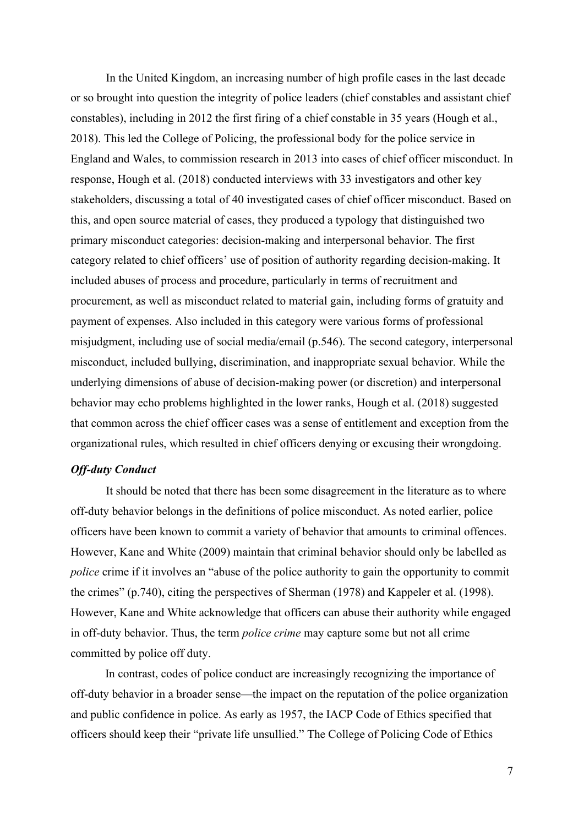In the United Kingdom, an increasing number of high profile cases in the last decade or so brought into question the integrity of police leaders (chief constables and assistant chief constables), including in 2012 the first firing of a chief constable in 35 years (Hough et al., 2018). This led the College of Policing, the professional body for the police service in England and Wales, to commission research in 2013 into cases of chief officer misconduct. In response, Hough et al. (2018) conducted interviews with 33 investigators and other key stakeholders, discussing a total of 40 investigated cases of chief officer misconduct. Based on this, and open source material of cases, they produced a typology that distinguished two primary misconduct categories: decision-making and interpersonal behavior. The first category related to chief officers' use of position of authority regarding decision-making. It included abuses of process and procedure, particularly in terms of recruitment and procurement, as well as misconduct related to material gain, including forms of gratuity and payment of expenses. Also included in this category were various forms of professional misjudgment, including use of social media/email (p.546). The second category, interpersonal misconduct, included bullying, discrimination, and inappropriate sexual behavior. While the underlying dimensions of abuse of decision-making power (or discretion) and interpersonal behavior may echo problems highlighted in the lower ranks, Hough et al. (2018) suggested that common across the chief officer cases was a sense of entitlement and exception from the organizational rules, which resulted in chief officers denying or excusing their wrongdoing.

# *Off-duty Conduct*

It should be noted that there has been some disagreement in the literature as to where off-duty behavior belongs in the definitions of police misconduct. As noted earlier, police officers have been known to commit a variety of behavior that amounts to criminal offences. However, Kane and White (2009) maintain that criminal behavior should only be labelled as *police* crime if it involves an "abuse of the police authority to gain the opportunity to commit the crimes" (p.740), citing the perspectives of Sherman (1978) and Kappeler et al. (1998). However, Kane and White acknowledge that officers can abuse their authority while engaged in off-duty behavior. Thus, the term *police crime* may capture some but not all crime committed by police off duty.

In contrast, codes of police conduct are increasingly recognizing the importance of off-duty behavior in a broader sense—the impact on the reputation of the police organization and public confidence in police. As early as 1957, the IACP Code of Ethics specified that officers should keep their "private life unsullied." The College of Policing Code of Ethics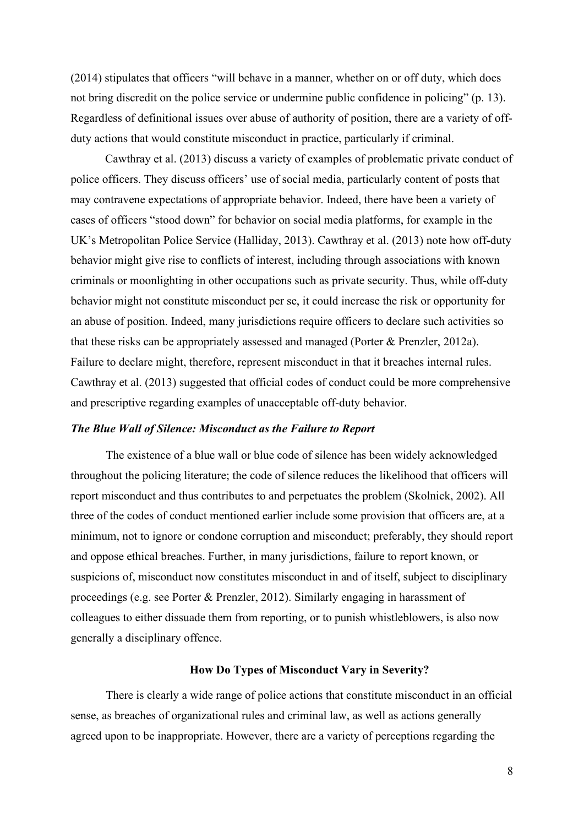(2014) stipulates that officers "will behave in a manner, whether on or off duty, which does not bring discredit on the police service or undermine public confidence in policing" (p. 13). Regardless of definitional issues over abuse of authority of position, there are a variety of offduty actions that would constitute misconduct in practice, particularly if criminal.

Cawthray et al. (2013) discuss a variety of examples of problematic private conduct of police officers. They discuss officers' use of social media, particularly content of posts that may contravene expectations of appropriate behavior. Indeed, there have been a variety of cases of officers "stood down" for behavior on social media platforms, for example in the UK's Metropolitan Police Service (Halliday, 2013). Cawthray et al. (2013) note how off-duty behavior might give rise to conflicts of interest, including through associations with known criminals or moonlighting in other occupations such as private security. Thus, while off-duty behavior might not constitute misconduct per se, it could increase the risk or opportunity for an abuse of position. Indeed, many jurisdictions require officers to declare such activities so that these risks can be appropriately assessed and managed (Porter & Prenzler, 2012a). Failure to declare might, therefore, represent misconduct in that it breaches internal rules. Cawthray et al. (2013) suggested that official codes of conduct could be more comprehensive and prescriptive regarding examples of unacceptable off-duty behavior.

## *The Blue Wall of Silence: Misconduct as the Failure to Report*

The existence of a blue wall or blue code of silence has been widely acknowledged throughout the policing literature; the code of silence reduces the likelihood that officers will report misconduct and thus contributes to and perpetuates the problem (Skolnick, 2002). All three of the codes of conduct mentioned earlier include some provision that officers are, at a minimum, not to ignore or condone corruption and misconduct; preferably, they should report and oppose ethical breaches. Further, in many jurisdictions, failure to report known, or suspicions of, misconduct now constitutes misconduct in and of itself, subject to disciplinary proceedings (e.g. see Porter & Prenzler, 2012). Similarly engaging in harassment of colleagues to either dissuade them from reporting, or to punish whistleblowers, is also now generally a disciplinary offence.

## **How Do Types of Misconduct Vary in Severity?**

There is clearly a wide range of police actions that constitute misconduct in an official sense, as breaches of organizational rules and criminal law, as well as actions generally agreed upon to be inappropriate. However, there are a variety of perceptions regarding the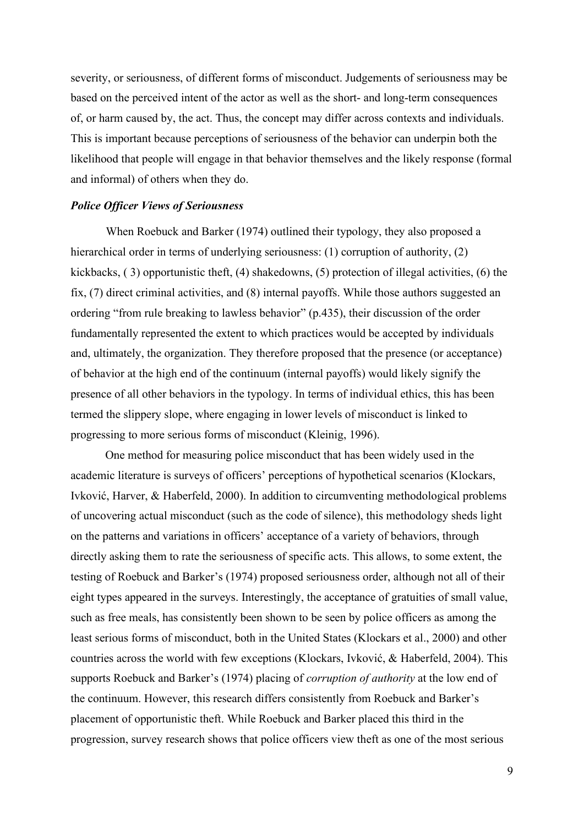severity, or seriousness, of different forms of misconduct. Judgements of seriousness may be based on the perceived intent of the actor as well as the short- and long-term consequences of, or harm caused by, the act. Thus, the concept may differ across contexts and individuals. This is important because perceptions of seriousness of the behavior can underpin both the likelihood that people will engage in that behavior themselves and the likely response (formal and informal) of others when they do.

### *Police Officer Views of Seriousness*

When Roebuck and Barker (1974) outlined their typology, they also proposed a hierarchical order in terms of underlying seriousness: (1) corruption of authority, (2) kickbacks,  $(3)$  opportunistic theft,  $(4)$  shakedowns,  $(5)$  protection of illegal activities,  $(6)$  the fix, (7) direct criminal activities, and (8) internal payoffs. While those authors suggested an ordering "from rule breaking to lawless behavior" (p.435), their discussion of the order fundamentally represented the extent to which practices would be accepted by individuals and, ultimately, the organization. They therefore proposed that the presence (or acceptance) of behavior at the high end of the continuum (internal payoffs) would likely signify the presence of all other behaviors in the typology. In terms of individual ethics, this has been termed the slippery slope, where engaging in lower levels of misconduct is linked to progressing to more serious forms of misconduct (Kleinig, 1996).

One method for measuring police misconduct that has been widely used in the academic literature is surveys of officers' perceptions of hypothetical scenarios (Klockars, Ivković, Harver, & Haberfeld, 2000). In addition to circumventing methodological problems of uncovering actual misconduct (such as the code of silence), this methodology sheds light on the patterns and variations in officers' acceptance of a variety of behaviors, through directly asking them to rate the seriousness of specific acts. This allows, to some extent, the testing of Roebuck and Barker's (1974) proposed seriousness order, although not all of their eight types appeared in the surveys. Interestingly, the acceptance of gratuities of small value, such as free meals, has consistently been shown to be seen by police officers as among the least serious forms of misconduct, both in the United States (Klockars et al., 2000) and other countries across the world with few exceptions (Klockars, Ivković, & Haberfeld, 2004). This supports Roebuck and Barker's (1974) placing of *corruption of authority* at the low end of the continuum. However, this research differs consistently from Roebuck and Barker's placement of opportunistic theft. While Roebuck and Barker placed this third in the progression, survey research shows that police officers view theft as one of the most serious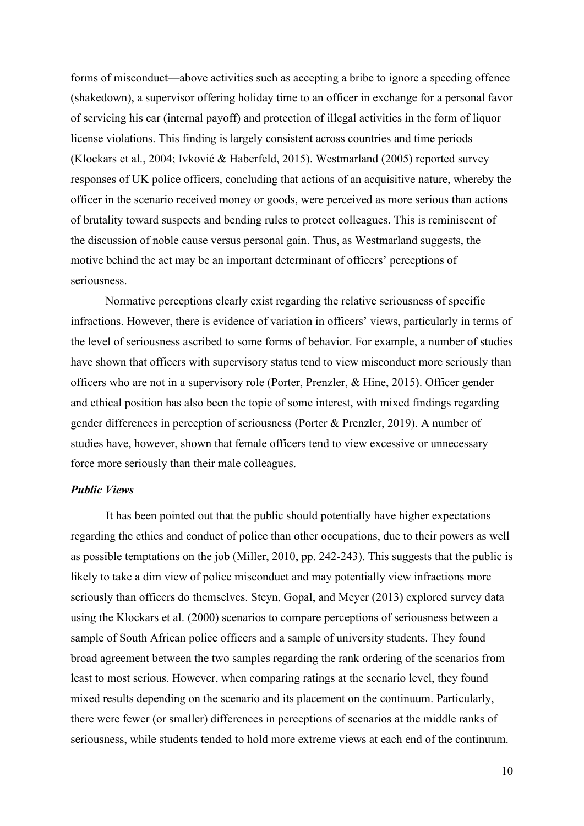forms of misconduct—above activities such as accepting a bribe to ignore a speeding offence (shakedown), a supervisor offering holiday time to an officer in exchange for a personal favor of servicing his car (internal payoff) and protection of illegal activities in the form of liquor license violations. This finding is largely consistent across countries and time periods (Klockars et al., 2004; Ivković & Haberfeld, 2015). Westmarland (2005) reported survey responses of UK police officers, concluding that actions of an acquisitive nature, whereby the officer in the scenario received money or goods, were perceived as more serious than actions of brutality toward suspects and bending rules to protect colleagues. This is reminiscent of the discussion of noble cause versus personal gain. Thus, as Westmarland suggests, the motive behind the act may be an important determinant of officers' perceptions of seriousness.

Normative perceptions clearly exist regarding the relative seriousness of specific infractions. However, there is evidence of variation in officers' views, particularly in terms of the level of seriousness ascribed to some forms of behavior. For example, a number of studies have shown that officers with supervisory status tend to view misconduct more seriously than officers who are not in a supervisory role (Porter, Prenzler, & Hine, 2015). Officer gender and ethical position has also been the topic of some interest, with mixed findings regarding gender differences in perception of seriousness (Porter & Prenzler, 2019). A number of studies have, however, shown that female officers tend to view excessive or unnecessary force more seriously than their male colleagues.

# *Public Views*

It has been pointed out that the public should potentially have higher expectations regarding the ethics and conduct of police than other occupations, due to their powers as well as possible temptations on the job (Miller, 2010, pp. 242-243). This suggests that the public is likely to take a dim view of police misconduct and may potentially view infractions more seriously than officers do themselves. Steyn, Gopal, and Meyer (2013) explored survey data using the Klockars et al. (2000) scenarios to compare perceptions of seriousness between a sample of South African police officers and a sample of university students. They found broad agreement between the two samples regarding the rank ordering of the scenarios from least to most serious. However, when comparing ratings at the scenario level, they found mixed results depending on the scenario and its placement on the continuum. Particularly, there were fewer (or smaller) differences in perceptions of scenarios at the middle ranks of seriousness, while students tended to hold more extreme views at each end of the continuum.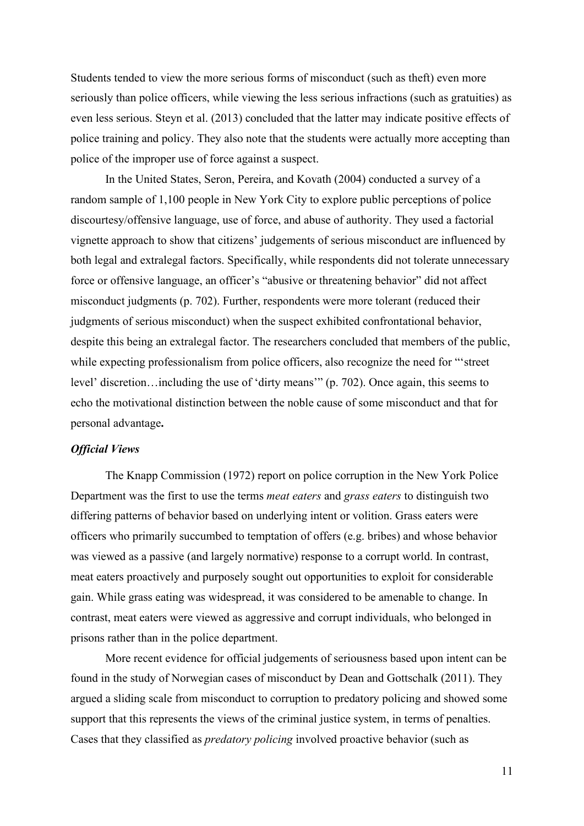Students tended to view the more serious forms of misconduct (such as theft) even more seriously than police officers, while viewing the less serious infractions (such as gratuities) as even less serious. Steyn et al. (2013) concluded that the latter may indicate positive effects of police training and policy. They also note that the students were actually more accepting than police of the improper use of force against a suspect.

In the United States, Seron, Pereira, and Kovath (2004) conducted a survey of a random sample of 1,100 people in New York City to explore public perceptions of police discourtesy/offensive language, use of force, and abuse of authority. They used a factorial vignette approach to show that citizens' judgements of serious misconduct are influenced by both legal and extralegal factors. Specifically, while respondents did not tolerate unnecessary force or offensive language, an officer's "abusive or threatening behavior" did not affect misconduct judgments (p. 702). Further, respondents were more tolerant (reduced their judgments of serious misconduct) when the suspect exhibited confrontational behavior, despite this being an extralegal factor. The researchers concluded that members of the public, while expecting professionalism from police officers, also recognize the need for "'street level' discretion…including the use of 'dirty means'" (p. 702). Once again, this seems to echo the motivational distinction between the noble cause of some misconduct and that for personal advantage**.**

## *Official Views*

The Knapp Commission (1972) report on police corruption in the New York Police Department was the first to use the terms *meat eaters* and *grass eaters* to distinguish two differing patterns of behavior based on underlying intent or volition. Grass eaters were officers who primarily succumbed to temptation of offers (e.g. bribes) and whose behavior was viewed as a passive (and largely normative) response to a corrupt world. In contrast, meat eaters proactively and purposely sought out opportunities to exploit for considerable gain. While grass eating was widespread, it was considered to be amenable to change. In contrast, meat eaters were viewed as aggressive and corrupt individuals, who belonged in prisons rather than in the police department.

More recent evidence for official judgements of seriousness based upon intent can be found in the study of Norwegian cases of misconduct by Dean and Gottschalk (2011). They argued a sliding scale from misconduct to corruption to predatory policing and showed some support that this represents the views of the criminal justice system, in terms of penalties. Cases that they classified as *predatory policing* involved proactive behavior (such as

11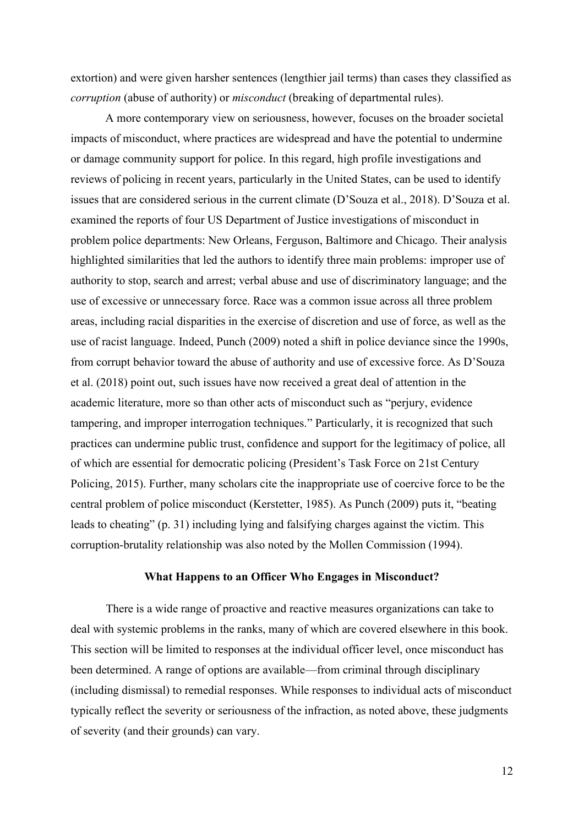extortion) and were given harsher sentences (lengthier jail terms) than cases they classified as *corruption* (abuse of authority) or *misconduct* (breaking of departmental rules).

A more contemporary view on seriousness, however, focuses on the broader societal impacts of misconduct, where practices are widespread and have the potential to undermine or damage community support for police. In this regard, high profile investigations and reviews of policing in recent years, particularly in the United States, can be used to identify issues that are considered serious in the current climate (D'Souza et al., 2018). D'Souza et al. examined the reports of four US Department of Justice investigations of misconduct in problem police departments: New Orleans, Ferguson, Baltimore and Chicago. Their analysis highlighted similarities that led the authors to identify three main problems: improper use of authority to stop, search and arrest; verbal abuse and use of discriminatory language; and the use of excessive or unnecessary force. Race was a common issue across all three problem areas, including racial disparities in the exercise of discretion and use of force, as well as the use of racist language. Indeed, Punch (2009) noted a shift in police deviance since the 1990s, from corrupt behavior toward the abuse of authority and use of excessive force. As D'Souza et al. (2018) point out, such issues have now received a great deal of attention in the academic literature, more so than other acts of misconduct such as "perjury, evidence tampering, and improper interrogation techniques." Particularly, it is recognized that such practices can undermine public trust, confidence and support for the legitimacy of police, all of which are essential for democratic policing (President's Task Force on 21st Century Policing, 2015). Further, many scholars cite the inappropriate use of coercive force to be the central problem of police misconduct (Kerstetter, 1985). As Punch (2009) puts it, "beating leads to cheating" (p. 31) including lying and falsifying charges against the victim. This corruption-brutality relationship was also noted by the Mollen Commission (1994).

#### **What Happens to an Officer Who Engages in Misconduct?**

There is a wide range of proactive and reactive measures organizations can take to deal with systemic problems in the ranks, many of which are covered elsewhere in this book. This section will be limited to responses at the individual officer level, once misconduct has been determined. A range of options are available—from criminal through disciplinary (including dismissal) to remedial responses. While responses to individual acts of misconduct typically reflect the severity or seriousness of the infraction, as noted above, these judgments of severity (and their grounds) can vary.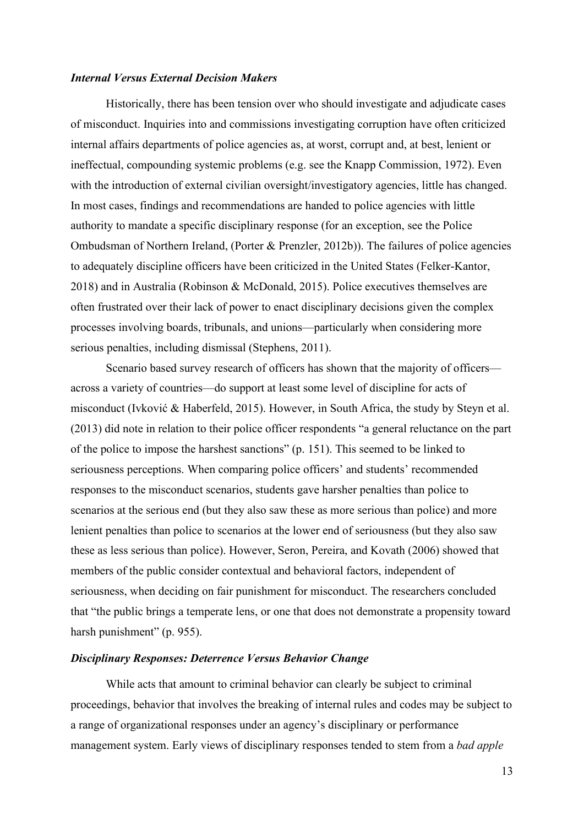## *Internal Versus External Decision Makers*

Historically, there has been tension over who should investigate and adjudicate cases of misconduct. Inquiries into and commissions investigating corruption have often criticized internal affairs departments of police agencies as, at worst, corrupt and, at best, lenient or ineffectual, compounding systemic problems (e.g. see the Knapp Commission, 1972). Even with the introduction of external civilian oversight/investigatory agencies, little has changed. In most cases, findings and recommendations are handed to police agencies with little authority to mandate a specific disciplinary response (for an exception, see the Police Ombudsman of Northern Ireland, (Porter & Prenzler, 2012b)). The failures of police agencies to adequately discipline officers have been criticized in the United States (Felker-Kantor, 2018) and in Australia (Robinson & McDonald, 2015). Police executives themselves are often frustrated over their lack of power to enact disciplinary decisions given the complex processes involving boards, tribunals, and unions—particularly when considering more serious penalties, including dismissal (Stephens, 2011).

Scenario based survey research of officers has shown that the majority of officers across a variety of countries—do support at least some level of discipline for acts of misconduct (Ivković & Haberfeld, 2015). However, in South Africa, the study by Steyn et al. (2013) did note in relation to their police officer respondents "a general reluctance on the part of the police to impose the harshest sanctions" (p. 151). This seemed to be linked to seriousness perceptions. When comparing police officers' and students' recommended responses to the misconduct scenarios, students gave harsher penalties than police to scenarios at the serious end (but they also saw these as more serious than police) and more lenient penalties than police to scenarios at the lower end of seriousness (but they also saw these as less serious than police). However, Seron, Pereira, and Kovath (2006) showed that members of the public consider contextual and behavioral factors, independent of seriousness, when deciding on fair punishment for misconduct. The researchers concluded that "the public brings a temperate lens, or one that does not demonstrate a propensity toward harsh punishment" (p. 955).

#### *Disciplinary Responses: Deterrence Versus Behavior Change*

While acts that amount to criminal behavior can clearly be subject to criminal proceedings, behavior that involves the breaking of internal rules and codes may be subject to a range of organizational responses under an agency's disciplinary or performance management system. Early views of disciplinary responses tended to stem from a *bad apple*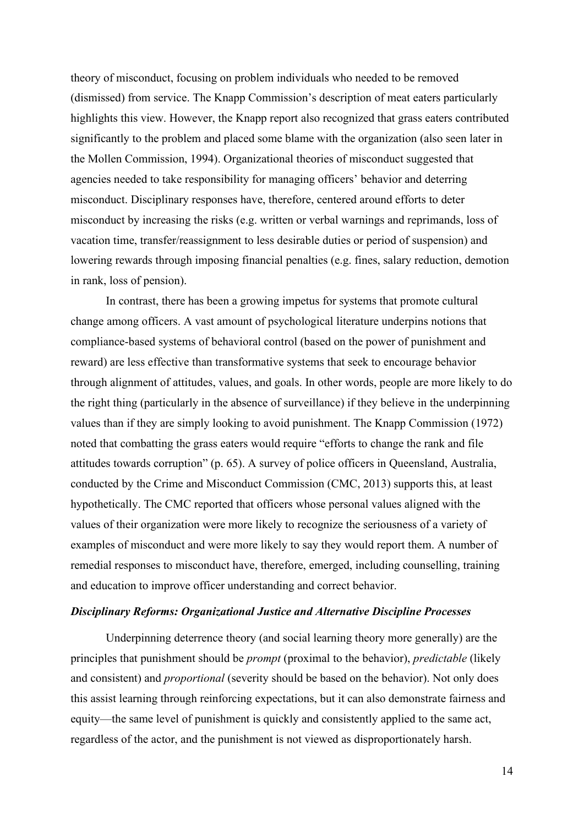theory of misconduct, focusing on problem individuals who needed to be removed (dismissed) from service. The Knapp Commission's description of meat eaters particularly highlights this view. However, the Knapp report also recognized that grass eaters contributed significantly to the problem and placed some blame with the organization (also seen later in the Mollen Commission, 1994). Organizational theories of misconduct suggested that agencies needed to take responsibility for managing officers' behavior and deterring misconduct. Disciplinary responses have, therefore, centered around efforts to deter misconduct by increasing the risks (e.g. written or verbal warnings and reprimands, loss of vacation time, transfer/reassignment to less desirable duties or period of suspension) and lowering rewards through imposing financial penalties (e.g. fines, salary reduction, demotion in rank, loss of pension).

In contrast, there has been a growing impetus for systems that promote cultural change among officers. A vast amount of psychological literature underpins notions that compliance-based systems of behavioral control (based on the power of punishment and reward) are less effective than transformative systems that seek to encourage behavior through alignment of attitudes, values, and goals. In other words, people are more likely to do the right thing (particularly in the absence of surveillance) if they believe in the underpinning values than if they are simply looking to avoid punishment. The Knapp Commission (1972) noted that combatting the grass eaters would require "efforts to change the rank and file attitudes towards corruption" (p. 65). A survey of police officers in Queensland, Australia, conducted by the Crime and Misconduct Commission (CMC, 2013) supports this, at least hypothetically. The CMC reported that officers whose personal values aligned with the values of their organization were more likely to recognize the seriousness of a variety of examples of misconduct and were more likely to say they would report them. A number of remedial responses to misconduct have, therefore, emerged, including counselling, training and education to improve officer understanding and correct behavior.

#### *Disciplinary Reforms: Organizational Justice and Alternative Discipline Processes*

Underpinning deterrence theory (and social learning theory more generally) are the principles that punishment should be *prompt* (proximal to the behavior), *predictable* (likely and consistent) and *proportional* (severity should be based on the behavior). Not only does this assist learning through reinforcing expectations, but it can also demonstrate fairness and equity—the same level of punishment is quickly and consistently applied to the same act, regardless of the actor, and the punishment is not viewed as disproportionately harsh.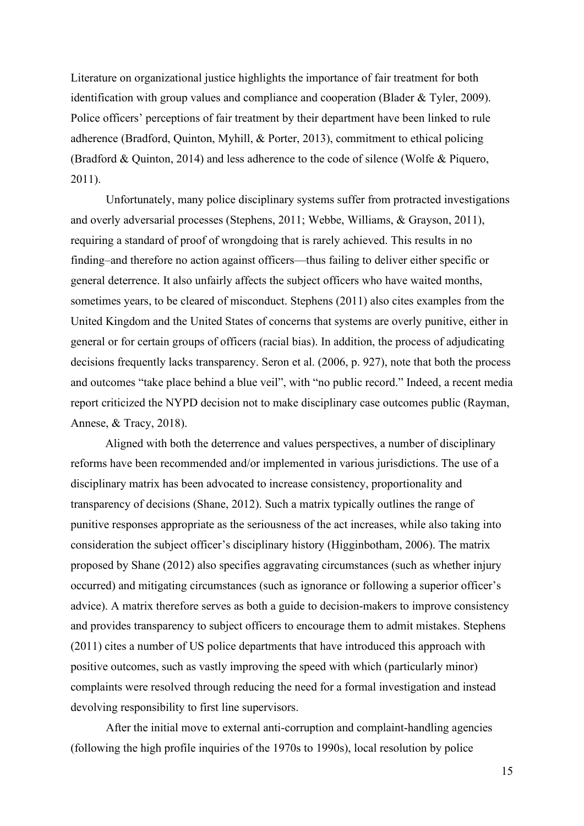Literature on organizational justice highlights the importance of fair treatment for both identification with group values and compliance and cooperation (Blader & Tyler, 2009). Police officers' perceptions of fair treatment by their department have been linked to rule adherence (Bradford, Quinton, Myhill, & Porter, 2013), commitment to ethical policing (Bradford & Quinton, 2014) and less adherence to the code of silence (Wolfe & Piquero, 2011).

Unfortunately, many police disciplinary systems suffer from protracted investigations and overly adversarial processes (Stephens, 2011; Webbe, Williams, & Grayson, 2011), requiring a standard of proof of wrongdoing that is rarely achieved. This results in no finding–and therefore no action against officers—thus failing to deliver either specific or general deterrence. It also unfairly affects the subject officers who have waited months, sometimes years, to be cleared of misconduct. Stephens (2011) also cites examples from the United Kingdom and the United States of concerns that systems are overly punitive, either in general or for certain groups of officers (racial bias). In addition, the process of adjudicating decisions frequently lacks transparency. Seron et al. (2006, p. 927), note that both the process and outcomes "take place behind a blue veil", with "no public record." Indeed, a recent media report criticized the NYPD decision not to make disciplinary case outcomes public (Rayman, Annese, & Tracy, 2018).

Aligned with both the deterrence and values perspectives, a number of disciplinary reforms have been recommended and/or implemented in various jurisdictions. The use of a disciplinary matrix has been advocated to increase consistency, proportionality and transparency of decisions (Shane, 2012). Such a matrix typically outlines the range of punitive responses appropriate as the seriousness of the act increases, while also taking into consideration the subject officer's disciplinary history (Higginbotham, 2006). The matrix proposed by Shane (2012) also specifies aggravating circumstances (such as whether injury occurred) and mitigating circumstances (such as ignorance or following a superior officer's advice). A matrix therefore serves as both a guide to decision-makers to improve consistency and provides transparency to subject officers to encourage them to admit mistakes. Stephens (2011) cites a number of US police departments that have introduced this approach with positive outcomes, such as vastly improving the speed with which (particularly minor) complaints were resolved through reducing the need for a formal investigation and instead devolving responsibility to first line supervisors.

After the initial move to external anti-corruption and complaint-handling agencies (following the high profile inquiries of the 1970s to 1990s), local resolution by police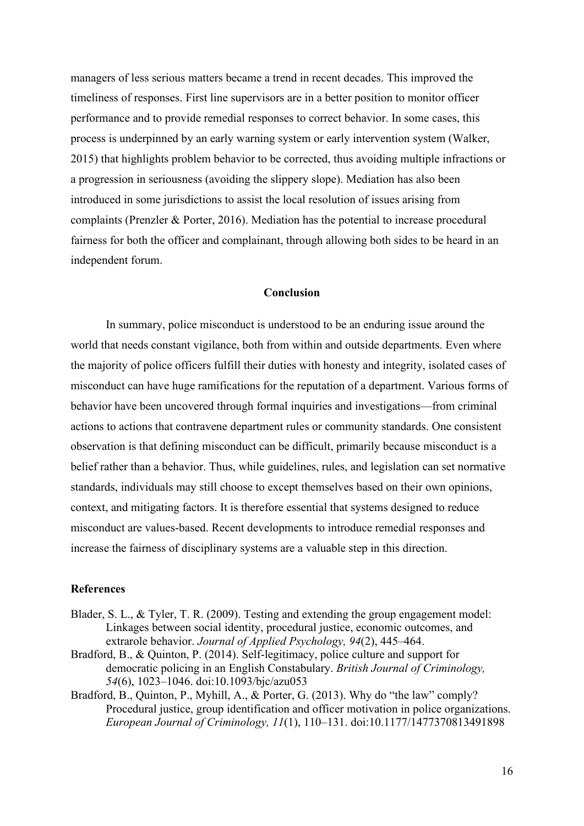managers of less serious matters became a trend in recent decades. This improved the timeliness of responses. First line supervisors are in a better position to monitor officer performance and to provide remedial responses to correct behavior. In some cases, this process is underpinned by an early warning system or early intervention system (Walker, 2015) that highlights problem behavior to be corrected, thus avoiding multiple infractions or a progression in seriousness (avoiding the slippery slope). Mediation has also been introduced in some jurisdictions to assist the local resolution of issues arising from complaints (Prenzler & Porter, 2016). Mediation has the potential to increase procedural fairness for both the officer and complainant, through allowing both sides to be heard in an independent forum.

#### **Conclusion**

In summary, police misconduct is understood to be an enduring issue around the world that needs constant vigilance, both from within and outside departments. Even where the majority of police officers fulfill their duties with honesty and integrity, isolated cases of misconduct can have huge ramifications for the reputation of a department. Various forms of behavior have been uncovered through formal inquiries and investigations—from criminal actions to actions that contravene department rules or community standards. One consistent observation is that defining misconduct can be difficult, primarily because misconduct is a belief rather than a behavior. Thus, while guidelines, rules, and legislation can set normative standards, individuals may still choose to except themselves based on their own opinions, context, and mitigating factors. It is therefore essential that systems designed to reduce misconduct are values-based. Recent developments to introduce remedial responses and increase the fairness of disciplinary systems are a valuable step in this direction.

## **References**

- Blader, S. L., & Tyler, T. R. (2009). Testing and extending the group engagement model: Linkages between social identity, procedural justice, economic outcomes, and extrarole behavior. *Journal of Applied Psychology, 94*(2), 445–464.
- Bradford, B., & Quinton, P. (2014). Self-legitimacy, police culture and support for democratic policing in an English Constabulary. *British Journal of Criminology, 54*(6), 1023–1046. doi:10.1093/bjc/azu053
- Bradford, B., Quinton, P., Myhill, A., & Porter, G. (2013). Why do "the law" comply? Procedural justice, group identification and officer motivation in police organizations. *European Journal of Criminology, 11*(1), 110–131. doi:10.1177/1477370813491898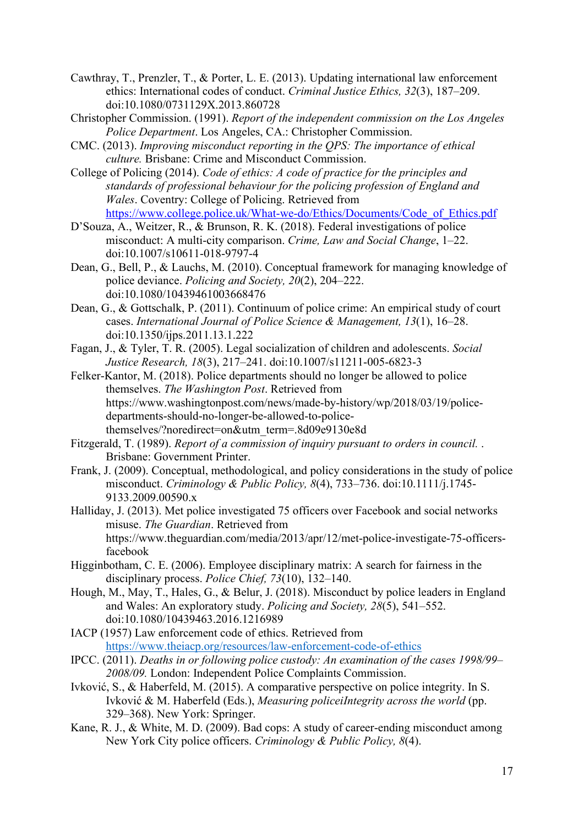- Cawthray, T., Prenzler, T., & Porter, L. E. (2013). Updating international law enforcement ethics: International codes of conduct. *Criminal Justice Ethics, 32*(3), 187–209. doi:10.1080/0731129X.2013.860728
- Christopher Commission. (1991). *Report of the independent commission on the Los Angeles Police Department*. Los Angeles, CA.: Christopher Commission.
- CMC. (2013). *Improving misconduct reporting in the QPS: The importance of ethical culture.* Brisbane: Crime and Misconduct Commission.
- College of Policing (2014). *Code of ethics: A code of practice for the principles and standards of professional behaviour for the policing profession of England and Wales*. Coventry: College of Policing. Retrieved from [https://www.college.police.uk/What-we-do/Ethics/Documents/Code\\_of\\_Ethics.pdf](https://www.college.police.uk/What-we-do/Ethics/Documents/Code_of_Ethics.pdf)
- D'Souza, A., Weitzer, R., & Brunson, R. K. (2018). Federal investigations of police misconduct: A multi-city comparison. *Crime, Law and Social Change*, 1–22. doi:10.1007/s10611-018-9797-4
- Dean, G., Bell, P., & Lauchs, M. (2010). Conceptual framework for managing knowledge of police deviance. *Policing and Society, 20*(2), 204–222. doi:10.1080/10439461003668476
- Dean, G., & Gottschalk, P. (2011). Continuum of police crime: An empirical study of court cases. *International Journal of Police Science & Management, 13*(1), 16–28. doi:10.1350/ijps.2011.13.1.222
- Fagan, J., & Tyler, T. R. (2005). Legal socialization of children and adolescents. *Social Justice Research, 18*(3), 217–241. doi:10.1007/s11211-005-6823-3
- Felker-Kantor, M. (2018). Police departments should no longer be allowed to police themselves. *The Washington Post*. Retrieved from https://www.washingtonpost.com/news/made-by-history/wp/2018/03/19/policedepartments-should-no-longer-be-allowed-to-policethemselves/?noredirect=on&utm\_term=.8d09e9130e8d
- Fitzgerald, T. (1989). *Report of a commission of inquiry pursuant to orders in council.* . Brisbane: Government Printer.
- Frank, J. (2009). Conceptual, methodological, and policy considerations in the study of police misconduct. *Criminology & Public Policy, 8*(4), 733–736. doi:10.1111/j.1745- 9133.2009.00590.x
- Halliday, J. (2013). Met police investigated 75 officers over Facebook and social networks misuse. *The Guardian*. Retrieved from https://www.theguardian.com/media/2013/apr/12/met-police-investigate-75-officersfacebook
- Higginbotham, C. E. (2006). Employee disciplinary matrix: A search for fairness in the disciplinary process. *Police Chief, 73*(10), 132–140.
- Hough, M., May, T., Hales, G., & Belur, J. (2018). Misconduct by police leaders in England and Wales: An exploratory study. *Policing and Society, 28*(5), 541–552. doi:10.1080/10439463.2016.1216989
- IACP (1957) Law enforcement code of ethics. Retrieved from <https://www.theiacp.org/resources/law-enforcement-code-of-ethics>
- IPCC. (2011). *Deaths in or following police custody: An examination of the cases 1998/99– 2008/09.* London: Independent Police Complaints Commission.
- Ivković, S., & Haberfeld, M. (2015). A comparative perspective on police integrity. In S. Ivković & M. Haberfeld (Eds.), *Measuring policeiIntegrity across the world* (pp. 329–368). New York: Springer.
- Kane, R. J., & White, M. D. (2009). Bad cops: A study of career-ending misconduct among New York City police officers. *Criminology & Public Policy, 8*(4).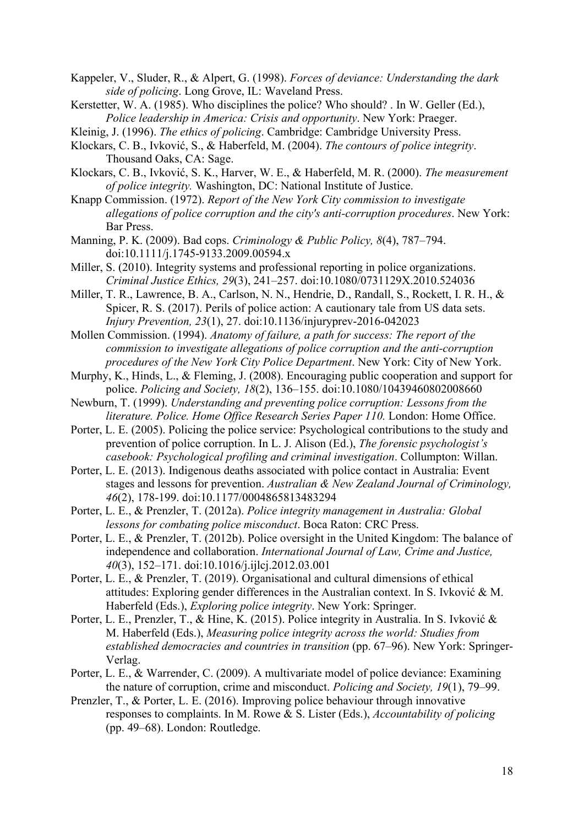- Kappeler, V., Sluder, R., & Alpert, G. (1998). *Forces of deviance: Understanding the dark side of policing*. Long Grove, IL: Waveland Press.
- Kerstetter, W. A. (1985). Who disciplines the police? Who should? . In W. Geller (Ed.), *Police leadership in America: Crisis and opportunity*. New York: Praeger.
- Kleinig, J. (1996). *The ethics of policing*. Cambridge: Cambridge University Press.
- Klockars, C. B., Ivković, S., & Haberfeld, M. (2004). *The contours of police integrity*. Thousand Oaks, CA: Sage.
- Klockars, C. B., Ivković, S. K., Harver, W. E., & Haberfeld, M. R. (2000). *The measurement of police integrity.* Washington, DC: National Institute of Justice.
- Knapp Commission. (1972). *Report of the New York City commission to investigate allegations of police corruption and the city's anti-corruption procedures*. New York: Bar Press.
- Manning, P. K. (2009). Bad cops. *Criminology & Public Policy, 8*(4), 787–794. doi:10.1111/j.1745-9133.2009.00594.x
- Miller, S. (2010). Integrity systems and professional reporting in police organizations. *Criminal Justice Ethics, 29*(3), 241–257. doi:10.1080/0731129X.2010.524036
- Miller, T. R., Lawrence, B. A., Carlson, N. N., Hendrie, D., Randall, S., Rockett, I. R. H., & Spicer, R. S. (2017). Perils of police action: A cautionary tale from US data sets. *Injury Prevention, 23*(1), 27. doi:10.1136/injuryprev-2016-042023
- Mollen Commission. (1994). *Anatomy of failure, a path for success: The report of the commission to investigate allegations of police corruption and the anti-corruption procedures of the New York City Police Department*. New York: City of New York.
- Murphy, K., Hinds, L., & Fleming, J. (2008). Encouraging public cooperation and support for police. *Policing and Society, 18*(2), 136–155. doi:10.1080/10439460802008660
- Newburn, T. (1999). *Understanding and preventing police corruption: Lessons from the literature. Police. Home Office Research Series Paper 110.* London: Home Office.
- Porter, L. E. (2005). Policing the police service: Psychological contributions to the study and prevention of police corruption. In L. J. Alison (Ed.), *The forensic psychologist's casebook: Psychological profiling and criminal investigation*. Collumpton: Willan.
- Porter, L. E. (2013). Indigenous deaths associated with police contact in Australia: Event stages and lessons for prevention. *Australian & New Zealand Journal of Criminology, 46*(2), 178-199. doi:10.1177/0004865813483294
- Porter, L. E., & Prenzler, T. (2012a). *Police integrity management in Australia: Global lessons for combating police misconduct*. Boca Raton: CRC Press.
- Porter, L. E., & Prenzler, T. (2012b). Police oversight in the United Kingdom: The balance of independence and collaboration. *International Journal of Law, Crime and Justice, 40*(3), 152–171. doi:10.1016/j.ijlcj.2012.03.001
- Porter, L. E., & Prenzler, T. (2019). Organisational and cultural dimensions of ethical attitudes: Exploring gender differences in the Australian context. In S. Ivković & M. Haberfeld (Eds.), *Exploring police integrity*. New York: Springer.
- Porter, L. E., Prenzler, T., & Hine, K. (2015). Police integrity in Australia. In S. Ivković & M. Haberfeld (Eds.), *Measuring police integrity across the world: Studies from established democracies and countries in transition* (pp. 67–96). New York: Springer-Verlag.
- Porter, L. E., & Warrender, C. (2009). A multivariate model of police deviance: Examining the nature of corruption, crime and misconduct. *Policing and Society, 19*(1), 79–99.
- Prenzler, T., & Porter, L. E. (2016). Improving police behaviour through innovative responses to complaints. In M. Rowe & S. Lister (Eds.), *Accountability of policing* (pp. 49–68). London: Routledge.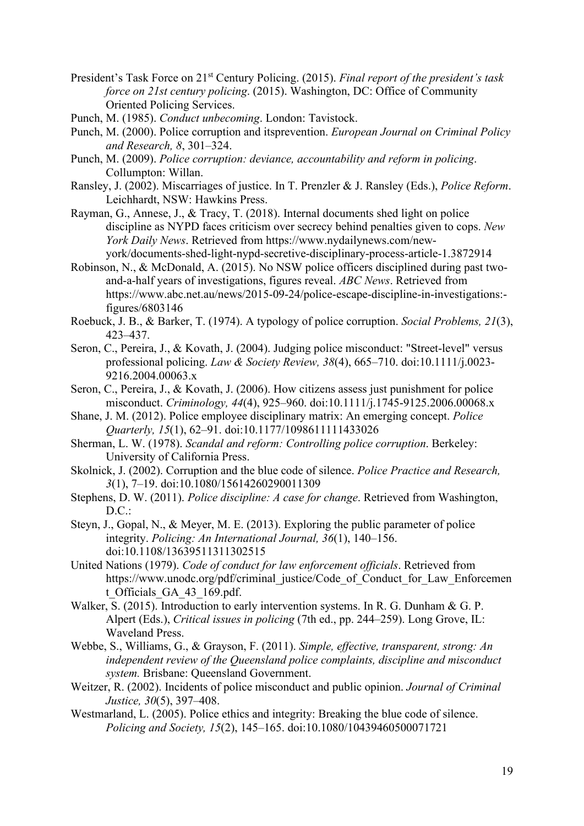- President's Task Force on 21st Century Policing. (2015). *Final report of the president's task force on 21st century policing*. (2015). Washington, DC: Office of Community Oriented Policing Services.
- Punch, M. (1985). *Conduct unbecoming*. London: Tavistock.
- Punch, M. (2000). Police corruption and itsprevention. *European Journal on Criminal Policy and Research, 8*, 301–324.
- Punch, M. (2009). *Police corruption: deviance, accountability and reform in policing*. Collumpton: Willan.
- Ransley, J. (2002). Miscarriages of justice. In T. Prenzler & J. Ransley (Eds.), *Police Reform*. Leichhardt, NSW: Hawkins Press.
- Rayman, G., Annese, J., & Tracy, T. (2018). Internal documents shed light on police discipline as NYPD faces criticism over secrecy behind penalties given to cops. *New York Daily News*. Retrieved from https://www.nydailynews.com/newyork/documents-shed-light-nypd-secretive-disciplinary-process-article-1.3872914
- Robinson, N., & McDonald, A. (2015). No NSW police officers disciplined during past twoand-a-half years of investigations, figures reveal. *ABC News*. Retrieved from https://www.abc.net.au/news/2015-09-24/police-escape-discipline-in-investigations: figures/6803146
- Roebuck, J. B., & Barker, T. (1974). A typology of police corruption. *Social Problems, 21*(3), 423–437.
- Seron, C., Pereira, J., & Kovath, J. (2004). Judging police misconduct: "Street-level" versus professional policing. *Law & Society Review, 38*(4), 665–710. doi:10.1111/j.0023- 9216.2004.00063.x
- Seron, C., Pereira, J., & Kovath, J. (2006). How citizens assess just punishment for police misconduct. *Criminology, 44*(4), 925–960. doi:10.1111/j.1745-9125.2006.00068.x
- Shane, J. M. (2012). Police employee disciplinary matrix: An emerging concept. *Police Quarterly, 15*(1), 62–91. doi:10.1177/1098611111433026
- Sherman, L. W. (1978). *Scandal and reform: Controlling police corruption*. Berkeley: University of California Press.
- Skolnick, J. (2002). Corruption and the blue code of silence. *Police Practice and Research, 3*(1), 7–19. doi:10.1080/15614260290011309
- Stephens, D. W. (2011). *Police discipline: A case for change*. Retrieved from Washington,  $D.C.:$
- Steyn, J., Gopal, N., & Meyer, M. E. (2013). Exploring the public parameter of police integrity. *Policing: An International Journal, 36*(1), 140–156. doi:10.1108/13639511311302515
- United Nations (1979). *Code of conduct for law enforcement officials*. Retrieved from https://www.unodc.org/pdf/criminal\_justice/Code\_of\_Conduct\_for\_Law\_Enforcemen t\_Officials\_GA\_43\_169.pdf.
- Walker, S. (2015). Introduction to early intervention systems. In R. G. Dunham & G. P. Alpert (Eds.), *Critical issues in policing* (7th ed., pp. 244–259). Long Grove, IL: Waveland Press.
- Webbe, S., Williams, G., & Grayson, F. (2011). *Simple, effective, transparent, strong: An independent review of the Queensland police complaints, discipline and misconduct system.* Brisbane: Queensland Government.
- Weitzer, R. (2002). Incidents of police misconduct and public opinion. *Journal of Criminal Justice, 30*(5), 397–408.
- Westmarland, L. (2005). Police ethics and integrity: Breaking the blue code of silence. *Policing and Society, 15*(2), 145–165. doi:10.1080/10439460500071721